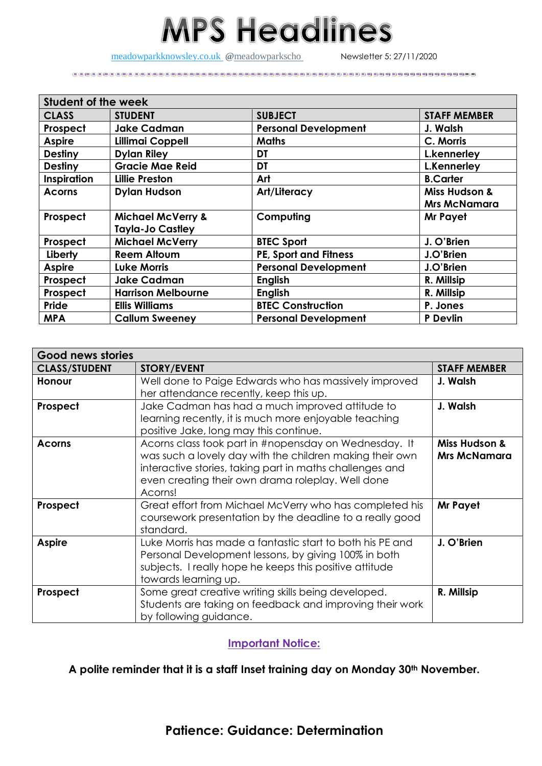## **MPS Headlines**

[meadowparkknowsley.co.uk](https://t.co/znDDto23ds) @[meadowparkscho](https://twitter.com/meadowparkscho) Newsletter 5: 27/11/2020

| <b>Student of the week</b> |                              |                             |                          |  |
|----------------------------|------------------------------|-----------------------------|--------------------------|--|
| <b>CLASS</b>               | <b>STUDENT</b>               | <b>SUBJECT</b>              | <b>STAFF MEMBER</b>      |  |
| Prospect                   | <b>Jake Cadman</b>           | <b>Personal Development</b> | J. Walsh                 |  |
| <b>Aspire</b>              | <b>Lillimai Coppell</b>      | <b>Maths</b>                | C. Morris                |  |
| <b>Destiny</b>             | <b>Dylan Riley</b>           | DT                          | L.kennerley              |  |
| <b>Destiny</b>             | <b>Gracie Mae Reid</b>       | DT                          | L.Kennerley              |  |
| Inspiration                | <b>Lillie Preston</b>        | Art                         | <b>B.Carter</b>          |  |
| <b>Acorns</b>              | <b>Dylan Hudson</b>          | Art/Literacy                | <b>Miss Hudson &amp;</b> |  |
|                            |                              |                             | <b>Mrs McNamara</b>      |  |
| Prospect                   | <b>Michael McVerry &amp;</b> | Computing                   | Mr Payet                 |  |
|                            | <b>Tayla-Jo Castley</b>      |                             |                          |  |
| Prospect                   | <b>Michael McVerry</b>       | <b>BTEC Sport</b>           | J. O'Brien               |  |
| Liberty                    | <b>Reem Altoum</b>           | PE, Sport and Fitness       | J.O'Brien                |  |
| <b>Aspire</b>              | <b>Luke Morris</b>           | <b>Personal Development</b> | J.O'Brien                |  |
| Prospect                   | <b>Jake Cadman</b>           | <b>English</b>              | R. Millsip               |  |
| Prospect                   | <b>Harrison Melbourne</b>    | <b>English</b>              | R. Millsip               |  |
| Pride                      | <b>Ellis Williams</b>        | <b>BTEC Construction</b>    | P. Jones                 |  |
| <b>MPA</b>                 | <b>Callum Sweeney</b>        | <b>Personal Development</b> | P Devlin                 |  |

| <b>Good news stories</b> |                                                                                                                                                                                                                                               |                                      |  |
|--------------------------|-----------------------------------------------------------------------------------------------------------------------------------------------------------------------------------------------------------------------------------------------|--------------------------------------|--|
| <b>CLASS/STUDENT</b>     | <b>STORY/EVENT</b>                                                                                                                                                                                                                            | <b>STAFF MEMBER</b>                  |  |
| Honour                   | Well done to Paige Edwards who has massively improved<br>her attendance recently, keep this up.                                                                                                                                               | J. Walsh                             |  |
| Prospect                 | Jake Cadman has had a much improved attitude to<br>learning recently, it is much more enjoyable teaching<br>positive Jake, long may this continue.                                                                                            | J. Walsh                             |  |
| <b>Acorns</b>            | Acorns class took part in #nopensday on Wednesday. It<br>was such a lovely day with the children making their own<br>interactive stories, taking part in maths challenges and<br>even creating their own drama roleplay. Well done<br>Acorns! | Miss Hudson &<br><b>Mrs McNamara</b> |  |
| Prospect                 | Great effort from Michael McVerry who has completed his<br>coursework presentation by the deadline to a really good<br>standard.                                                                                                              | Mr Payet                             |  |
| <b>Aspire</b>            | Luke Morris has made a fantastic start to both his PE and<br>Personal Development lessons, by giving 100% in both<br>subjects. I really hope he keeps this positive attitude<br>towards learning up.                                          | J. O'Brien                           |  |
| Prospect                 | Some great creative writing skills being developed.<br>Students are taking on feedback and improving their work<br>by following guidance.                                                                                                     | R. Millsip                           |  |

## **Important Notice:**

**A polite reminder that it is a staff Inset training day on Monday 30th November.**